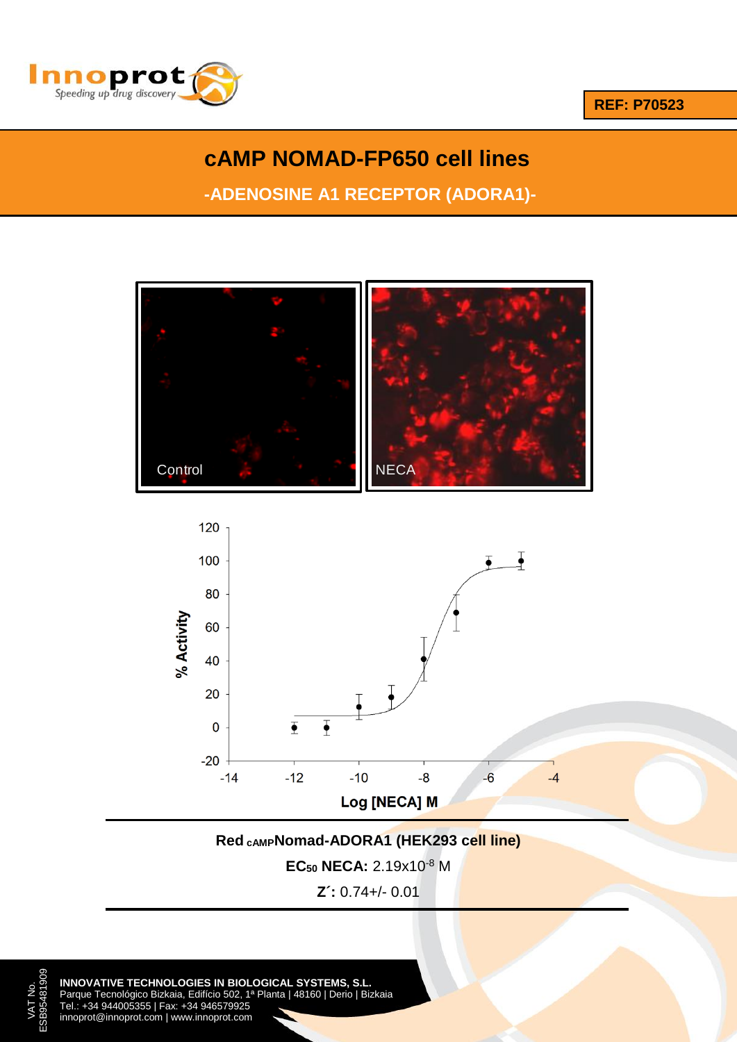

**REF: P70523**

# **cAMP NOMAD-FP650 cell lines**

**-ADENOSINE A1 RECEPTOR (ADORA1)-**

**A (ADORA2A)** 





**Red cAMPNomad-ADORA1 (HEK293 cell line)**

**EC<sup>50</sup> NECA:** 2.19x10-8 M

**Z´:** 0.74+/- 0.01

ESB95481909 **INNOVATIVE TECHNOLOGIES IN BIOLOGICAL SYSTEMS, S.L.** Parque Tecnológico Bizkaia, Edifício 502, 1ª Planta | 48160 | Derio | Bizkaia Tel.: +34 944005355 | Fax: +34 946579925 innoprot@innoprot.com | www.innoprot.com

VAT No.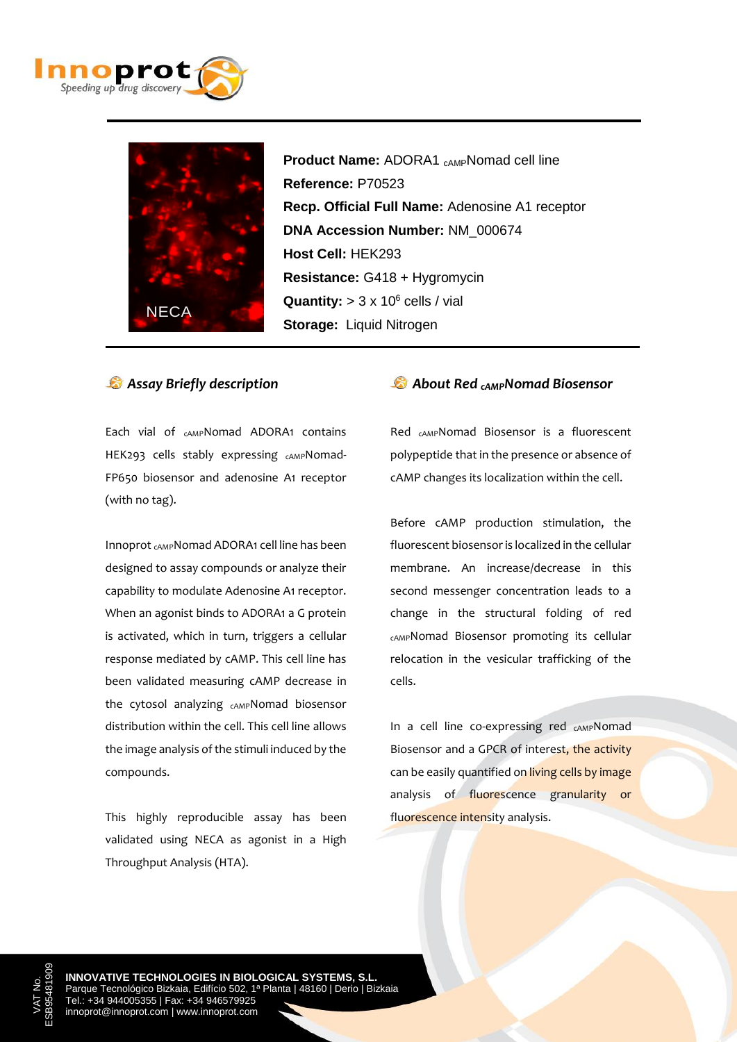



**Product Name:** ADORA1 <sub>CAMP</sub>Nomad cell line  **Reference:** P70523  **Recp. Official Full Name:** Adenosine A1 receptor  **DNA Accession Number:** NM\_000674  **Host Cell:** HEK293  **Resistance:** G418 + Hygromycin **Quantity:**  $> 3 \times 10^6$  cells / vial  **Storage:** Liquid Nitrogen

#### *Assay Briefly description*

Each vial of <sub>CAMP</sub>Nomad ADORA1 contains HEK293 cells stably expressing CAMPNomad-FP650 biosensor and adenosine A1 receptor (with no tag).

Innoprot cAMPNomad ADORA1 cell line has been designed to assay compounds or analyze their capability to modulate Adenosine A1 receptor. When an agonist binds to ADORA1 a G protein is activated, which in turn, triggers a cellular response mediated by cAMP. This cell line has been validated measuring cAMP decrease in the cytosol analyzing cAMPNomad biosensor distribution within the cell. This cell line allows the image analysis of the stimuli induced by the compounds.

This highly reproducible assay has been validated using NECA as agonist in a High Throughput Analysis (HTA).

### *About Red cAMPNomad Biosensor*

Red cAMPNomad Biosensor is a fluorescent polypeptide that in the presence or absence of cAMP changes its localization within the cell.

Before cAMP production stimulation, the fluorescent biosensor is localized in the cellular membrane. An increase/decrease in this second messenger concentration leads to a change in the structural folding of red cAMPNomad Biosensor promoting its cellular relocation in the vesicular trafficking of the cells.

In a cell line co-expressing red <sub>CAMP</sub>Nomad Biosensor and a GPCR of interest, the activity can be easily quantified on living cells by image analysis of fluorescence granularity or fluorescence intensity analysis.

**INNOVATIVE TECHNOLOGIES IN BIOLOGICAL SYSTEMS, S.L.** Parque Tecnológico Bizkaia, Edifício 502, 1ª Planta | 48160 | Derio | Bizkaia Tel.: +34 944005355 | Fax: +34 946579925 innoprot@innoprot.com | www.innoprot.com

VAT No. ESB95481909